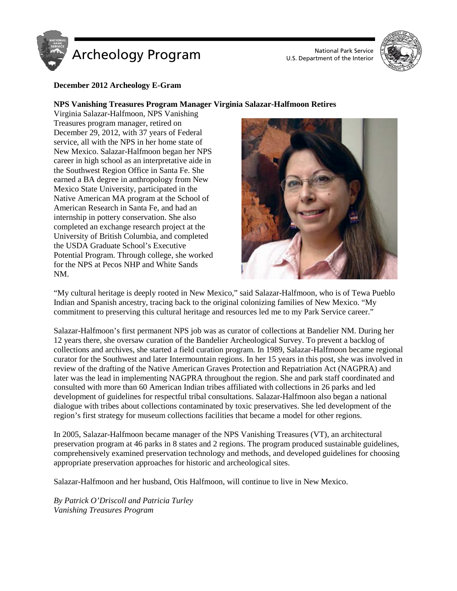



#### **December 2012 Archeology E-Gram**

#### **NPS Vanishing Treasures Program Manager Virginia Salazar-Halfmoon Retires**

Virginia Salazar-Halfmoon, NPS Vanishing Treasures program manager, retired on December 29, 2012, with 37 years of Federal service, all with the NPS in her home state of New Mexico. Salazar-Halfmoon began her NPS career in high school as an interpretative aide in the Southwest Region Office in Santa Fe. She earned a BA degree in anthropology from New Mexico State University, participated in the Native American MA program at the School of American Research in Santa Fe, and had an internship in pottery conservation. She also completed an exchange research project at the University of British Columbia, and completed the USDA Graduate School's Executive Potential Program. Through college, she worked for the NPS at Pecos NHP and White Sands NM.



"My cultural heritage is deeply rooted in New Mexico," said Salazar-Halfmoon, who is of Tewa Pueblo Indian and Spanish ancestry, tracing back to the original colonizing families of New Mexico. "My commitment to preserving this cultural heritage and resources led me to my Park Service career."

Salazar-Halfmoon's first permanent NPS job was as curator of collections at Bandelier NM. During her 12 years there, she oversaw curation of the Bandelier Archeological Survey. To prevent a backlog of collections and archives, she started a field curation program. In 1989, Salazar-Halfmoon became regional curator for the Southwest and later Intermountain regions. In her 15 years in this post, she was involved in review of the drafting of the Native American Graves Protection and Repatriation Act (NAGPRA) and later was the lead in implementing NAGPRA throughout the region. She and park staff coordinated and consulted with more than 60 American Indian tribes affiliated with collections in 26 parks and led development of guidelines for respectful tribal consultations. Salazar-Halfmoon also began a national dialogue with tribes about collections contaminated by toxic preservatives. She led development of the region's first strategy for museum collections facilities that became a model for other regions.

In 2005, Salazar-Halfmoon became manager of the NPS Vanishing Treasures (VT), an architectural preservation program at 46 parks in 8 states and 2 regions. The program produced sustainable guidelines, comprehensively examined preservation technology and methods, and developed guidelines for choosing appropriate preservation approaches for historic and archeological sites.

Salazar-Halfmoon and her husband, Otis Halfmoon, will continue to live in New Mexico.

*By Patrick O'Driscoll and Patricia Turley Vanishing Treasures Program*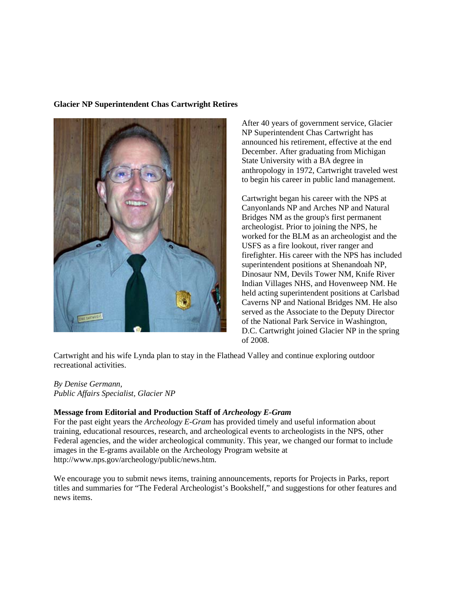### **Glacier NP Superintendent Chas Cartwright Retires**



After 40 years of government service, Glacier NP Superintendent Chas Cartwright has announced his retirement, effective at the end December. After graduating from Michigan State University with a BA degree in anthropology in 1972, Cartwright traveled west to begin his career in public land management.

Cartwright began his career with the NPS at Canyonlands NP and Arches NP and Natural Bridges NM as the group's first permanent archeologist. Prior to joining the NPS, he worked for the BLM as an archeologist and the USFS as a fire lookout, river ranger and firefighter. His career with the NPS has included superintendent positions at Shenandoah NP, Dinosaur NM, Devils Tower NM, Knife River Indian Villages NHS, and Hovenweep NM. He held acting superintendent positions at Carlsbad Caverns NP and National Bridges NM. He also served as the Associate to the Deputy Director of the National Park Service in Washington, D.C. Cartwright joined Glacier NP in the spring of 2008.

Cartwright and his wife Lynda plan to stay in the Flathead Valley and continue exploring outdoor recreational activities.

### *By Denise Germann,*

*Public Affairs Specialist, Glacier NP*

### **Message from Editorial and Production Staff of** *Archeology E-Gram*

For the past eight years the *Archeology E-Gram* has provided timely and useful information about training, educational resources, research, and archeological events to archeologists in the NPS, other Federal agencies, and the wider archeological community. This year, we changed our format to include images in the E-grams available on the Archeology Program website at http://www.nps.gov/archeology/public/news.htm.

We encourage you to submit news items, training announcements, reports for Projects in Parks, report titles and summaries for "The Federal Archeologist's Bookshelf," and suggestions for other features and news items.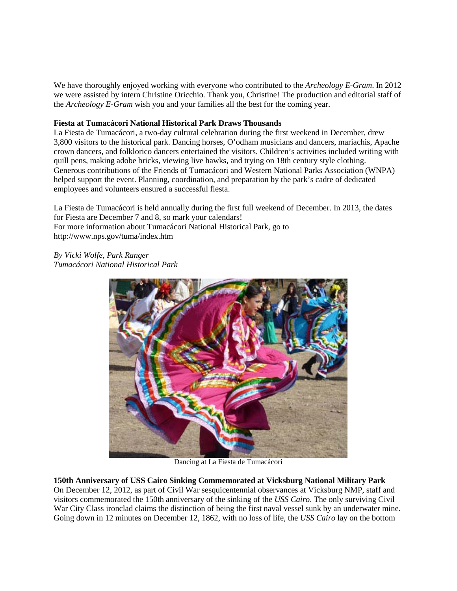We have thoroughly enjoyed working with everyone who contributed to the *Archeology E-Gram*. In 2012 we were assisted by intern Christine Oricchio*.* Thank you, Christine! The production and editorial staff of the *Archeology E-Gram* wish you and your families all the best for the coming year.

## **Fiesta at Tumacácori National Historical Park Draws Thousands**

La Fiesta de Tumacácori, a two-day cultural celebration during the first weekend in December, drew 3,800 visitors to the historical park. Dancing horses, O'odham musicians and dancers, mariachis, Apache crown dancers, and folklorico dancers entertained the visitors. Children's activities included writing with quill pens, making adobe bricks, viewing live hawks, and trying on 18th century style clothing. Generous contributions of the Friends of Tumacácori and Western National Parks Association (WNPA) helped support the event. Planning, coordination, and preparation by the park's cadre of dedicated employees and volunteers ensured a successful fiesta.

La Fiesta de Tumacácori is held annually during the first full weekend of December. In 2013, the dates for Fiesta are December 7 and 8, so mark your calendars! For more information about Tumacácori National Historical Park, go to http://www.nps.gov/tuma/index.htm

*By Vicki Wolfe, Park Ranger Tumacácori National Historical Park*



Dancing at La Fiesta de Tumacácori

**150th Anniversary of USS Cairo Sinking Commemorated at Vicksburg National Military Park** On December 12, 2012, as part of Civil War sesquicentennial observances at Vicksburg NMP, staff and visitors commemorated the 150th anniversary of the sinking of the *USS Cairo*. The only surviving Civil War City Class ironclad claims the distinction of being the first naval vessel sunk by an underwater mine. Going down in 12 minutes on December 12, 1862, with no loss of life, the *USS Cairo* lay on the bottom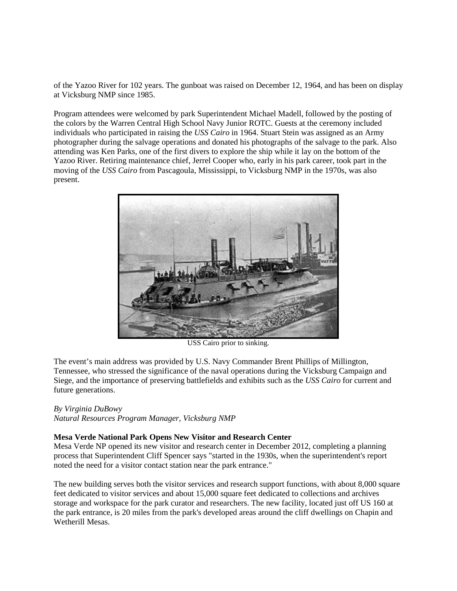of the Yazoo River for 102 years. The gunboat was raised on December 12, 1964, and has been on display at Vicksburg NMP since 1985.

Program attendees were welcomed by park Superintendent Michael Madell, followed by the posting of the colors by the Warren Central High School Navy Junior ROTC. Guests at the ceremony included individuals who participated in raising the *USS Cairo* in 1964. Stuart Stein was assigned as an Army photographer during the salvage operations and donated his photographs of the salvage to the park. Also attending was Ken Parks, one of the first divers to explore the ship while it lay on the bottom of the Yazoo River. Retiring maintenance chief, Jerrel Cooper who, early in his park career, took part in the moving of the *USS Cairo* from Pascagoula, Mississippi, to Vicksburg NMP in the 1970s, was also present.



USS Cairo prior to sinking.

The event's main address was provided by U.S. Navy Commander Brent Phillips of Millington, Tennessee, who stressed the significance of the naval operations during the Vicksburg Campaign and Siege, and the importance of preserving battlefields and exhibits such as the *USS Cairo* for current and future generations.

### *By Virginia DuBowy*

*Natural Resources Program Manager, Vicksburg NMP*

### **Mesa Verde National Park Opens New Visitor and Research Center**

Mesa Verde NP opened its new visitor and research center in December 2012, completing a planning process that Superintendent Cliff Spencer says "started in the 1930s, when the superintendent's report noted the need for a visitor contact station near the park entrance."

The new building serves both the visitor services and research support functions, with about 8,000 square feet dedicated to visitor services and about 15,000 square feet dedicated to collections and archives storage and workspace for the park curator and researchers. The new facility, located just off US 160 at the park entrance, is 20 miles from the park's developed areas around the cliff dwellings on Chapin and Wetherill Mesas.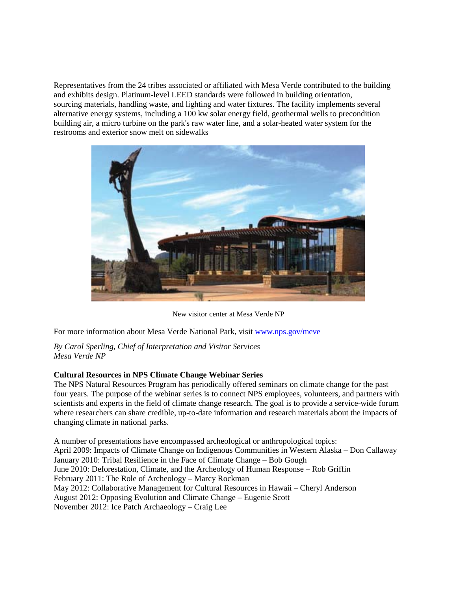Representatives from the 24 tribes associated or affiliated with Mesa Verde contributed to the building and exhibits design. Platinum-level LEED standards were followed in building orientation, sourcing materials, handling waste, and lighting and water fixtures. The facility implements several alternative energy systems, including a 100 kw solar energy field, geothermal wells to precondition building air, a micro turbine on the park's raw water line, and a solar-heated water system for the restrooms and exterior snow melt on sidewalks



New visitor center at Mesa Verde NP

For more information about Mesa Verde National Park, visit [www.nps.gov/meve](http://www.nps.gov/meve)

*By Carol Sperling, Chief of Interpretation and Visitor Services Mesa Verde NP*

# **Cultural Resources in NPS Climate Change Webinar Series**

The NPS Natural Resources Program has periodically offered seminars on climate change for the past four years. The purpose of the webinar series is to connect NPS employees, volunteers, and partners with scientists and experts in the field of climate change research. The goal is to provide a service-wide forum where researchers can share credible, up-to-date information and research materials about the impacts of changing climate in national parks.

A number of presentations have encompassed archeological or anthropological topics: April 2009: Impacts of Climate Change on Indigenous Communities in Western Alaska – Don Callaway January 2010: Tribal Resilience in the Face of Climate Change – Bob Gough June 2010: Deforestation, Climate, and the Archeology of Human Response – Rob Griffin February 2011: The Role of Archeology – Marcy Rockman May 2012: Collaborative Management for Cultural Resources in Hawaii – Cheryl Anderson August 2012: Opposing Evolution and Climate Change – Eugenie Scott November 2012: Ice Patch Archaeology – Craig Lee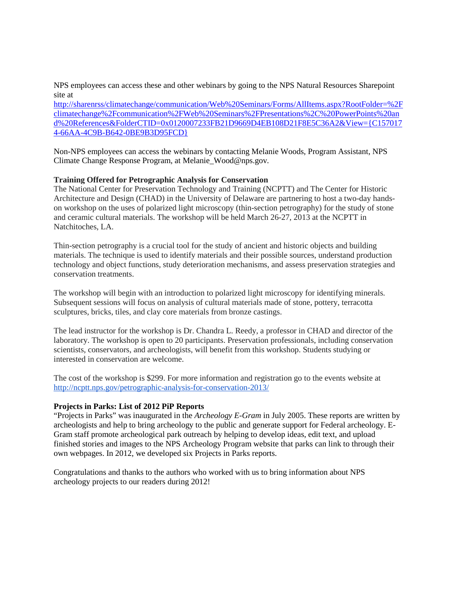NPS employees can access these and other webinars by going to the NPS Natural Resources Sharepoint site at

[http://sharenrss/climatechange/communication/Web%20Seminars/Forms/AllItems.aspx?RootFolder=%2F](http://sharenrss/climatechange/communication/Web%20Seminars/Forms/AllItems.aspx?RootFolder=%2Fclimatechange%2Fcommunication%2FWeb%20Seminars%2FPresentations%2C%20PowerPoints%20and%20References&FolderCTID=0x0120007233FB21D9669D4EB108D21F8E5C36A2&View=%7bC1570174-66AA-4C9B-B642-0BE9B3D95FCD%7d) [climatechange%2Fcommunication%2FWeb%20Seminars%2FPresentations%2C%20PowerPoints%20an](http://sharenrss/climatechange/communication/Web%20Seminars/Forms/AllItems.aspx?RootFolder=%2Fclimatechange%2Fcommunication%2FWeb%20Seminars%2FPresentations%2C%20PowerPoints%20and%20References&FolderCTID=0x0120007233FB21D9669D4EB108D21F8E5C36A2&View=%7bC1570174-66AA-4C9B-B642-0BE9B3D95FCD%7d) [d%20References&FolderCTID=0x0120007233FB21D9669D4EB108D21F8E5C36A2&View={C157017](http://sharenrss/climatechange/communication/Web%20Seminars/Forms/AllItems.aspx?RootFolder=%2Fclimatechange%2Fcommunication%2FWeb%20Seminars%2FPresentations%2C%20PowerPoints%20and%20References&FolderCTID=0x0120007233FB21D9669D4EB108D21F8E5C36A2&View=%7bC1570174-66AA-4C9B-B642-0BE9B3D95FCD%7d) [4-66AA-4C9B-B642-0BE9B3D95FCD}](http://sharenrss/climatechange/communication/Web%20Seminars/Forms/AllItems.aspx?RootFolder=%2Fclimatechange%2Fcommunication%2FWeb%20Seminars%2FPresentations%2C%20PowerPoints%20and%20References&FolderCTID=0x0120007233FB21D9669D4EB108D21F8E5C36A2&View=%7bC1570174-66AA-4C9B-B642-0BE9B3D95FCD%7d)

Non-NPS employees can access the webinars by contacting Melanie Woods, Program Assistant, NPS Climate Change Response Program, at Melanie\_Wood@nps.gov.

### **Training Offered for Petrographic Analysis for Conservation**

The National Center for Preservation Technology and Training (NCPTT) and The Center for Historic Architecture and Design (CHAD) in the University of Delaware are partnering to host a two-day handson workshop on the uses of polarized light microscopy (thin-section petrography) for the study of stone and ceramic cultural materials. The workshop will be held March 26-27, 2013 at the NCPTT in Natchitoches, LA.

Thin-section petrography is a crucial tool for the study of ancient and historic objects and building materials. The technique is used to identify materials and their possible sources, understand production technology and object functions, study deterioration mechanisms, and assess preservation strategies and conservation treatments.

The workshop will begin with an introduction to polarized light microscopy for identifying minerals. Subsequent sessions will focus on analysis of cultural materials made of stone, pottery, terracotta sculptures, bricks, tiles, and clay core materials from bronze castings.

The lead instructor for the workshop is Dr. Chandra L. Reedy, a professor in CHAD and director of the laboratory. The workshop is open to 20 participants. Preservation professionals, including conservation scientists, conservators, and archeologists, will benefit from this workshop. Students studying or interested in conservation are welcome.

The cost of the workshop is \$299. For more information and registration go to the events website at <http://ncptt.nps.gov/petrographic-analysis-for-conservation-2013/>

### **Projects in Parks: List of 2012 PiP Reports**

"Projects in Parks" was inaugurated in the *Archeology E-Gram* in July 2005. These reports are written by archeologists and help to bring archeology to the public and generate support for Federal archeology. E-Gram staff promote archeological park outreach by helping to develop ideas, edit text, and upload finished stories and images to the NPS Archeology Program website that parks can link to through their own webpages. In 2012, we developed six Projects in Parks reports.

Congratulations and thanks to the authors who worked with us to bring information about NPS archeology projects to our readers during 2012!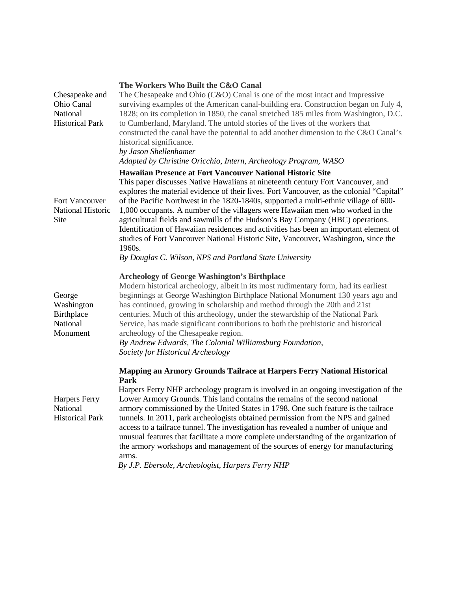| The Workers Who Built the C&O Canal                                                                                                                                                                                                                                                                                                                                                                                                                                                                                                                                                                                                                                                 |
|-------------------------------------------------------------------------------------------------------------------------------------------------------------------------------------------------------------------------------------------------------------------------------------------------------------------------------------------------------------------------------------------------------------------------------------------------------------------------------------------------------------------------------------------------------------------------------------------------------------------------------------------------------------------------------------|
| The Chesapeake and Ohio $(C&O)$ Canal is one of the most intact and impressive<br>surviving examples of the American canal-building era. Construction began on July 4,<br>1828; on its completion in 1850, the canal stretched 185 miles from Washington, D.C.<br>to Cumberland, Maryland. The untold stories of the lives of the workers that<br>constructed the canal have the potential to add another dimension to the C&O Canal's<br>historical significance.<br>by Jason Shellenhamer<br>Adapted by Christine Oricchio, Intern, Archeology Program, WASO                                                                                                                      |
| <b>Hawaiian Presence at Fort Vancouver National Historic Site</b>                                                                                                                                                                                                                                                                                                                                                                                                                                                                                                                                                                                                                   |
| This paper discusses Native Hawaiians at nineteenth century Fort Vancouver, and<br>explores the material evidence of their lives. Fort Vancouver, as the colonial "Capital"<br>of the Pacific Northwest in the 1820-1840s, supported a multi-ethnic village of 600-<br>1,000 occupants. A number of the villagers were Hawaiian men who worked in the<br>agricultural fields and sawmills of the Hudson's Bay Company (HBC) operations.<br>Identification of Hawaiian residences and activities has been an important element of<br>studies of Fort Vancouver National Historic Site, Vancouver, Washington, since the<br>1960s.                                                    |
| By Douglas C. Wilson, NPS and Portland State University                                                                                                                                                                                                                                                                                                                                                                                                                                                                                                                                                                                                                             |
| <b>Archeology of George Washington's Birthplace</b><br>Modern historical archeology, albeit in its most rudimentary form, had its earliest<br>beginnings at George Washington Birthplace National Monument 130 years ago and<br>has continued, growing in scholarship and method through the 20th and 21st<br>centuries. Much of this archeology, under the stewardship of the National Park<br>Service, has made significant contributions to both the prehistoric and historical<br>archeology of the Chesapeake region.<br>By Andrew Edwards, The Colonial Williamsburg Foundation,<br>Society for Historical Archeology                                                         |
| Mapping an Armory Grounds Tailrace at Harpers Ferry National Historical                                                                                                                                                                                                                                                                                                                                                                                                                                                                                                                                                                                                             |
| Park<br>Harpers Ferry NHP archeology program is involved in an ongoing investigation of the<br>Lower Armory Grounds. This land contains the remains of the second national<br>armory commissioned by the United States in 1798. One such feature is the tailrace<br>tunnels. In 2011, park archeologists obtained permission from the NPS and gained<br>access to a tailrace tunnel. The investigation has revealed a number of unique and<br>unusual features that facilitate a more complete understanding of the organization of<br>the armory workshops and management of the sources of energy for manufacturing<br>arms.<br>By J.P. Ebersole, Archeologist, Harpers Ferry NHP |
|                                                                                                                                                                                                                                                                                                                                                                                                                                                                                                                                                                                                                                                                                     |